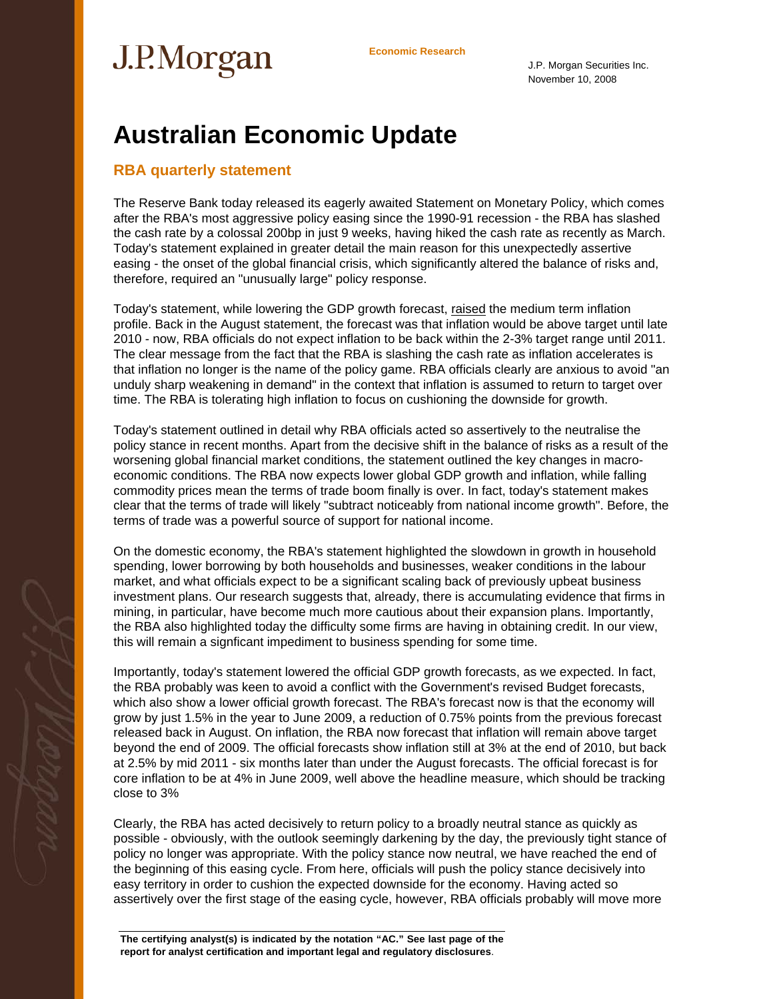# **Economic Research**

J.P. Morgan Securities Inc. November 10, 2008

## **Australian Economic Update**

### **RBA quarterly statement**

The Reserve Bank today released its eagerly awaited Statement on Monetary Policy, which comes after the RBA's most aggressive policy easing since the 1990-91 recession - the RBA has slashed the cash rate by a colossal 200bp in just 9 weeks, having hiked the cash rate as recently as March. Today's statement explained in greater detail the main reason for this unexpectedly assertive easing - the onset of the global financial crisis, which significantly altered the balance of risks and, therefore, required an "unusually large" policy response.

Today's statement, while lowering the GDP growth forecast, raised the medium term inflation profile. Back in the August statement, the forecast was that inflation would be above target until late 2010 - now, RBA officials do not expect inflation to be back within the 2-3% target range until 2011. The clear message from the fact that the RBA is slashing the cash rate as inflation accelerates is that inflation no longer is the name of the policy game. RBA officials clearly are anxious to avoid "an unduly sharp weakening in demand" in the context that inflation is assumed to return to target over time. The RBA is tolerating high inflation to focus on cushioning the downside for growth.

Today's statement outlined in detail why RBA officials acted so assertively to the neutralise the policy stance in recent months. Apart from the decisive shift in the balance of risks as a result of the worsening global financial market conditions, the statement outlined the key changes in macroeconomic conditions. The RBA now expects lower global GDP growth and inflation, while falling commodity prices mean the terms of trade boom finally is over. In fact, today's statement makes clear that the terms of trade will likely "subtract noticeably from national income growth". Before, the terms of trade was a powerful source of support for national income.

On the domestic economy, the RBA's statement highlighted the slowdown in growth in household spending, lower borrowing by both households and businesses, weaker conditions in the labour market, and what officials expect to be a significant scaling back of previously upbeat business investment plans. Our research suggests that, already, there is accumulating evidence that firms in mining, in particular, have become much more cautious about their expansion plans. Importantly, the RBA also highlighted today the difficulty some firms are having in obtaining credit. In our view, this will remain a signficant impediment to business spending for some time.

Importantly, today's statement lowered the official GDP growth forecasts, as we expected. In fact, the RBA probably was keen to avoid a conflict with the Government's revised Budget forecasts, which also show a lower official growth forecast. The RBA's forecast now is that the economy will grow by just 1.5% in the year to June 2009, a reduction of 0.75% points from the previous forecast released back in August. On inflation, the RBA now forecast that inflation will remain above target beyond the end of 2009. The official forecasts show inflation still at 3% at the end of 2010, but back at 2.5% by mid 2011 - six months later than under the August forecasts. The official forecast is for core inflation to be at 4% in June 2009, well above the headline measure, which should be tracking close to 3%

Clearly, the RBA has acted decisively to return policy to a broadly neutral stance as quickly as possible - obviously, with the outlook seemingly darkening by the day, the previously tight stance of policy no longer was appropriate. With the policy stance now neutral, we have reached the end of the beginning of this easing cycle. From here, officials will push the policy stance decisively into easy territory in order to cushion the expected downside for the economy. Having acted so assertively over the first stage of the easing cycle, however, RBA officials probably will move more

**The certifying analyst(s) is indicated by the notation "AC." See last page of the report for analyst certification and important legal and regulatory disclosures**.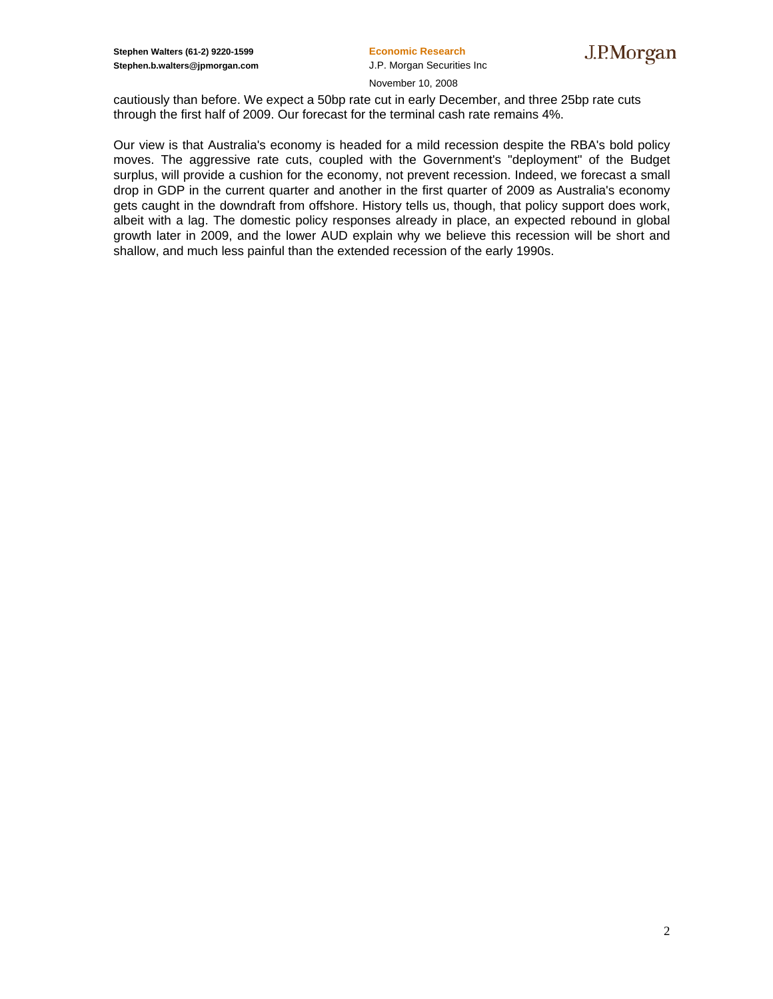November 10, 2008

cautiously than before. We expect a 50bp rate cut in early December, and three 25bp rate cuts through the first half of 2009. Our forecast for the terminal cash rate remains 4%.

Our view is that Australia's economy is headed for a mild recession despite the RBA's bold policy moves. The aggressive rate cuts, coupled with the Government's "deployment" of the Budget surplus, will provide a cushion for the economy, not prevent recession. Indeed, we forecast a small drop in GDP in the current quarter and another in the first quarter of 2009 as Australia's economy gets caught in the downdraft from offshore. History tells us, though, that policy support does work, albeit with a lag. The domestic policy responses already in place, an expected rebound in global growth later in 2009, and the lower AUD explain why we believe this recession will be short and shallow, and much less painful than the extended recession of the early 1990s.